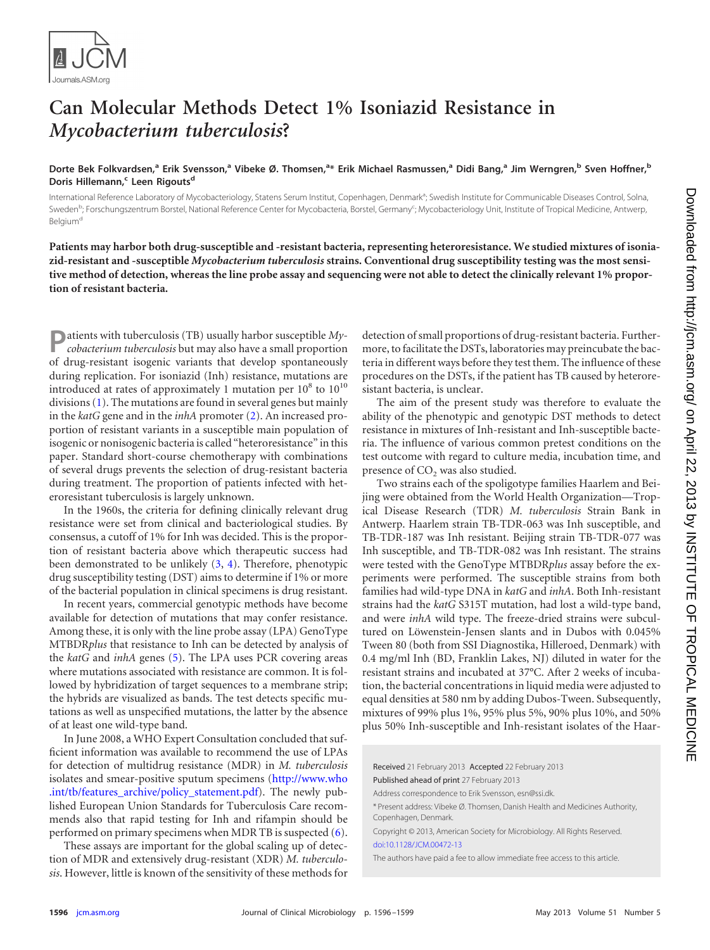

## **Can Molecular Methods Detect 1% Isoniazid Resistance in** *Mycobacterium tuberculosis***?**

Dorte Bek Folkvardsen,<sup>a</sup> Erik Svensson,<sup>a</sup> Vibeke Ø. Thomsen,<sup>a</sup>\* Erik Michael Rasmussen,<sup>a</sup> Didi Bang,<sup>a</sup> Jim Werngren,<sup>b</sup> Sven Hoffner,<sup>b</sup> Doris Hillemann,<sup>c</sup> Leen Rigouts<sup>d</sup>

International Reference Laboratory of Mycobacteriology, Statens Serum Institut, Copenhagen, Denmark<sup>a</sup>; Swedish Institute for Communicable Diseases Control, Solna, Sweden<sup>b</sup>; Forschungszentrum Borstel, National Reference Center for Mycobacteria, Borstel, Germany<sup>c</sup>; Mycobacteriology Unit, Institute of Tropical Medicine, Antwerp, Belgium<sup>d</sup>

**Patients may harbor both drug-susceptible and -resistant bacteria, representing heteroresistance. We studied mixtures of isoniazid-resistant and -susceptible** *Mycobacterium tuberculosis* **strains. Conventional drug susceptibility testing was the most sensitive method of detection, whereas the line probe assay and sequencing were not able to detect the clinically relevant 1% proportion of resistant bacteria.**

**P**atients with tuberculosis (TB) usually harbor susceptible *Mycobacterium tuberculosis* but may also have a small proportion of drug-resistant isogenic variants that develop spontaneously during replication. For isoniazid (Inh) resistance, mutations are introduced at rates of approximately 1 mutation per  $10^8$  to  $10^{10}$ divisions [\(1\)](#page-3-0). The mutations are found in several genes but mainly in the *katG* gene and in the *inhA* promoter [\(2\)](#page-3-1). An increased proportion of resistant variants in a susceptible main population of isogenic or nonisogenic bacteria is called "heteroresistance" in this paper. Standard short-course chemotherapy with combinations of several drugs prevents the selection of drug-resistant bacteria during treatment. The proportion of patients infected with heteroresistant tuberculosis is largely unknown.

In the 1960s, the criteria for defining clinically relevant drug resistance were set from clinical and bacteriological studies. By consensus, a cutoff of 1% for Inh was decided. This is the proportion of resistant bacteria above which therapeutic success had been demonstrated to be unlikely [\(3,](#page-3-2) [4\)](#page-3-3). Therefore, phenotypic drug susceptibility testing (DST) aims to determine if 1% or more of the bacterial population in clinical specimens is drug resistant.

In recent years, commercial genotypic methods have become available for detection of mutations that may confer resistance. Among these, it is only with the line probe assay (LPA) GenoType MTBDR*plus* that resistance to Inh can be detected by analysis of the *katG* and *inhA* genes [\(5\)](#page-3-4). The LPA uses PCR covering areas where mutations associated with resistance are common. It is followed by hybridization of target sequences to a membrane strip; the hybrids are visualized as bands. The test detects specific mutations as well as unspecified mutations, the latter by the absence of at least one wild-type band.

In June 2008, a WHO Expert Consultation concluded that sufficient information was available to recommend the use of LPAs for detection of multidrug resistance (MDR) in *M. tuberculosis* isolates and smear-positive sputum specimens [\(http://www.who](http://www.who.int/tb/features_archive/policy_statement.pdf) [.int/tb/features\\_archive/policy\\_statement.pdf\)](http://www.who.int/tb/features_archive/policy_statement.pdf). The newly published European Union Standards for Tuberculosis Care recommends also that rapid testing for Inh and rifampin should be performed on primary specimens when MDR TB is suspected [\(6\)](#page-3-5).

These assays are important for the global scaling up of detection of MDR and extensively drug-resistant (XDR) *M. tuberculosis*. However, little is known of the sensitivity of these methods for detection of small proportions of drug-resistant bacteria. Furthermore, to facilitate the DSTs, laboratories may preincubate the bacteria in different ways before they test them. The influence of these procedures on the DSTs, if the patient has TB caused by heteroresistant bacteria, is unclear.

The aim of the present study was therefore to evaluate the ability of the phenotypic and genotypic DST methods to detect resistance in mixtures of Inh-resistant and Inh-susceptible bacteria. The influence of various common pretest conditions on the test outcome with regard to culture media, incubation time, and presence of CO<sub>2</sub> was also studied.

Two strains each of the spoligotype families Haarlem and Beijing were obtained from the World Health Organization—Tropical Disease Research (TDR) *M. tuberculosis* Strain Bank in Antwerp. Haarlem strain TB-TDR-063 was Inh susceptible, and TB-TDR-187 was Inh resistant. Beijing strain TB-TDR-077 was Inh susceptible, and TB-TDR-082 was Inh resistant. The strains were tested with the GenoType MTBDR*plus* assay before the experiments were performed. The susceptible strains from both families had wild-type DNA in *katG* and *inhA*. Both Inh-resistant strains had the *katG* S315T mutation, had lost a wild-type band, and were *inhA* wild type. The freeze-dried strains were subcultured on Löwenstein-Jensen slants and in Dubos with 0.045% Tween 80 (both from SSI Diagnostika, Hilleroed, Denmark) with 0.4 mg/ml Inh (BD, Franklin Lakes, NJ) diluted in water for the resistant strains and incubated at 37°C. After 2 weeks of incubation, the bacterial concentrations in liquid media were adjusted to equal densities at 580 nm by adding Dubos-Tween. Subsequently, mixtures of 99% plus 1%, 95% plus 5%, 90% plus 10%, and 50% plus 50% Inh-susceptible and Inh-resistant isolates of the Haar-

Received 21 February 2013 Accepted 22 February 2013

Published ahead of print 27 February 2013

Address correspondence to Erik Svensson, esn@ssi.dk.

\* Present address: Vibeke Ø. Thomsen, Danish Health and Medicines Authority, Copenhagen, Denmark.

Copyright © 2013, American Society for Microbiology. All Rights Reserved. [doi:10.1128/JCM.00472-13](http://dx.doi.org/10.1128/JCM.00472-13)

The authors have paid a fee to allow immediate free access to this article.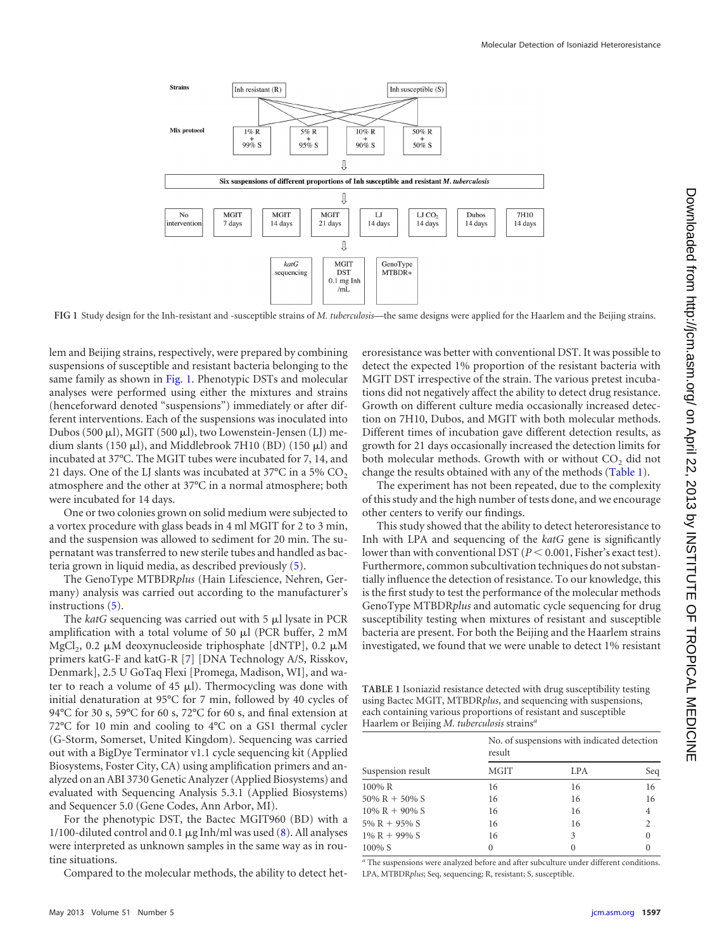

<span id="page-1-0"></span>**FIG 1** Study design for the Inh-resistant and -susceptible strains of *M. tuberculosis*—the same designs were applied for the Haarlem and the Beijing strains.

lem and Beijing strains, respectively, were prepared by combining suspensions of susceptible and resistant bacteria belonging to the same family as shown in [Fig. 1.](#page-1-0) Phenotypic DSTs and molecular analyses were performed using either the mixtures and strains (henceforward denoted "suspensions") immediately or after different interventions. Each of the suspensions was inoculated into Dubos (500  $\mu$ l), MGIT (500  $\mu$ l), two Lowenstein-Jensen (LJ) medium slants (150  $\mu$ l), and Middlebrook 7H10 (BD) (150  $\mu$ l) and incubated at 37°C. The MGIT tubes were incubated for 7, 14, and 21 days. One of the LJ slants was incubated at 37°C in a 5%  $CO<sub>2</sub>$ atmosphere and the other at 37°C in a normal atmosphere; both were incubated for 14 days.

One or two colonies grown on solid medium were subjected to a vortex procedure with glass beads in 4 ml MGIT for 2 to 3 min, and the suspension was allowed to sediment for 20 min. The supernatant was transferred to new sterile tubes and handled as bacteria grown in liquid media, as described previously [\(5\)](#page-3-4).

The GenoType MTBDR*plus* (Hain Lifescience, Nehren, Germany) analysis was carried out according to the manufacturer's instructions [\(5\)](#page-3-4).

The *katG* sequencing was carried out with 5 µl lysate in PCR amplification with a total volume of 50  $\mu$ l (PCR buffer, 2 mM MgCl<sub>2</sub>, 0.2  $\mu$ M deoxynucleoside triphosphate [dNTP], 0.2  $\mu$ M primers katG-F and katG-R [\[7\]](#page-3-6) [DNA Technology A/S, Risskov, Denmark], 2.5 U GoTaq Flexi [Promega, Madison, WI], and water to reach a volume of 45  $\mu$ l). Thermocycling was done with initial denaturation at 95°C for 7 min, followed by 40 cycles of 94°C for 30 s, 59°C for 60 s, 72°C for 60 s, and final extension at 72°C for 10 min and cooling to 4°C on a GS1 thermal cycler (G-Storm, Somerset, United Kingdom). Sequencing was carried out with a BigDye Terminator v1.1 cycle sequencing kit (Applied Biosystems, Foster City, CA) using amplification primers and analyzed on an ABI 3730 Genetic Analyzer (Applied Biosystems) and evaluated with Sequencing Analysis 5.3.1 (Applied Biosystems) and Sequencer 5.0 (Gene Codes, Ann Arbor, MI).

For the phenotypic DST, the Bactec MGIT960 (BD) with a 1/100-diluted control and 0.1  $\mu$ g Inh/ml was used [\(8\)](#page-3-7). All analyses were interpreted as unknown samples in the same way as in routine situations.

Compared to the molecular methods, the ability to detect het-

eroresistance was better with conventional DST. It was possible to detect the expected 1% proportion of the resistant bacteria with MGIT DST irrespective of the strain. The various pretest incubations did not negatively affect the ability to detect drug resistance. Growth on different culture media occasionally increased detection on 7H10, Dubos, and MGIT with both molecular methods. Different times of incubation gave different detection results, as growth for 21 days occasionally increased the detection limits for both molecular methods. Growth with or without CO<sub>2</sub> did not change the results obtained with any of the methods [\(Table 1\)](#page-1-1).

The experiment has not been repeated, due to the complexity of this study and the high number of tests done, and we encourage other centers to verify our findings.

This study showed that the ability to detect heteroresistance to Inh with LPA and sequencing of the *katG* gene is significantly lower than with conventional DST  $(P < 0.001,$  Fisher's exact test). Furthermore, common subcultivation techniques do not substantially influence the detection of resistance. To our knowledge, this is the first study to test the performance of the molecular methods GenoType MTBDR*plus* and automatic cycle sequencing for drug susceptibility testing when mixtures of resistant and susceptible bacteria are present. For both the Beijing and the Haarlem strains investigated, we found that we were unable to detect 1% resistant

<span id="page-1-1"></span>**TABLE 1** Isoniazid resistance detected with drug susceptibility testing using Bactec MGIT, MTBDR*plus*, and sequencing with suspensions, each containing various proportions of resistant and susceptible Haarlem or Beijing *M. tuberculosis* strains*<sup>a</sup>*

| Suspension result | No. of suspensions with indicated detection<br>result |                  |                |
|-------------------|-------------------------------------------------------|------------------|----------------|
|                   | MGIT                                                  | LPA              | Seq            |
| 100% R            | 16                                                    | 16               | 16             |
| $50\% R + 50\% S$ | 16                                                    | 16               | 16             |
| $10\% R + 90\% S$ | 16                                                    | 16               | 4              |
| 5% R + 95% S      | 16                                                    | 16               | $\overline{2}$ |
| $1\% R + 99\% S$  | 16                                                    | 3                | $\theta$       |
| 100% S            | 0                                                     | $\left( \right)$ |                |

*<sup>a</sup>* The suspensions were analyzed before and after subculture under different conditions. LPA, MTBDR*plus*; Seq, sequencing; R, resistant; S, susceptible.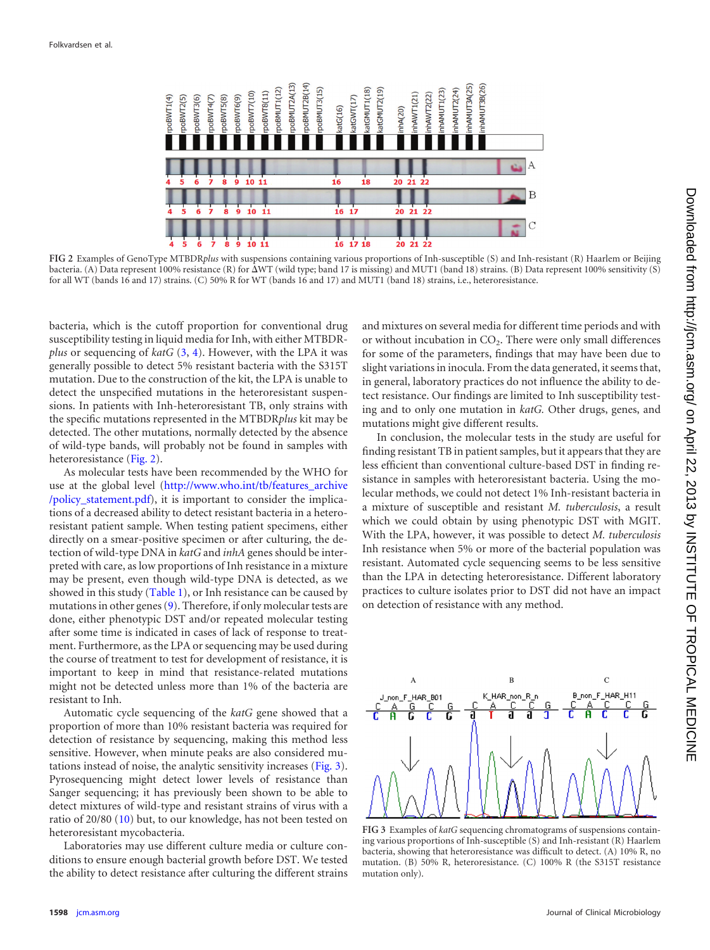

<span id="page-2-0"></span>**FIG 2** Examples of GenoType MTBDR*plus* with suspensions containing various proportions of Inh-susceptible (S) and Inh-resistant (R) Haarlem or Beijing bacteria. (A) Data represent 100% resistance (R) for  $\Delta$ WT (wild type; band 17 is missing) and MUT1 (band 18) strains. (B) Data represent 100% sensitivity (S) for all WT (bands 16 and 17) strains. (C) 50% R for WT (bands 16 and 17) and MUT1 (band 18) strains, i.e., heteroresistance.

bacteria, which is the cutoff proportion for conventional drug susceptibility testing in liquid media for Inh, with either MTBDR*plus* or sequencing of *katG* [\(3,](#page-3-2) [4\)](#page-3-3). However, with the LPA it was generally possible to detect 5% resistant bacteria with the S315T mutation. Due to the construction of the kit, the LPA is unable to detect the unspecified mutations in the heteroresistant suspensions. In patients with Inh-heteroresistant TB, only strains with the specific mutations represented in the MTBDR*plus* kit may be detected. The other mutations, normally detected by the absence of wild-type bands, will probably not be found in samples with heteroresistance [\(Fig. 2\)](#page-2-0).

As molecular tests have been recommended by the WHO for use at the global level [\(http://www.who.int/tb/features\\_archive](http://www.who.int/tb/features_archive/policy_statement.pdf) [/policy\\_statement.pdf\)](http://www.who.int/tb/features_archive/policy_statement.pdf), it is important to consider the implications of a decreased ability to detect resistant bacteria in a heteroresistant patient sample. When testing patient specimens, either directly on a smear-positive specimen or after culturing, the detection of wild-type DNA in *katG* and *inhA* genes should be interpreted with care, as low proportions of Inh resistance in a mixture may be present, even though wild-type DNA is detected, as we showed in this study [\(Table 1\)](#page-1-1), or Inh resistance can be caused by mutations in other genes [\(9\)](#page-3-8). Therefore, if only molecular tests are done, either phenotypic DST and/or repeated molecular testing after some time is indicated in cases of lack of response to treatment. Furthermore, as the LPA or sequencing may be used during the course of treatment to test for development of resistance, it is important to keep in mind that resistance-related mutations might not be detected unless more than 1% of the bacteria are resistant to Inh.

Automatic cycle sequencing of the *katG* gene showed that a proportion of more than 10% resistant bacteria was required for detection of resistance by sequencing, making this method less sensitive. However, when minute peaks are also considered mutations instead of noise, the analytic sensitivity increases [\(Fig. 3\)](#page-2-1). Pyrosequencing might detect lower levels of resistance than Sanger sequencing; it has previously been shown to be able to detect mixtures of wild-type and resistant strains of virus with a ratio of 20/80 [\(10\)](#page-3-9) but, to our knowledge, has not been tested on heteroresistant mycobacteria.

Laboratories may use different culture media or culture conditions to ensure enough bacterial growth before DST. We tested the ability to detect resistance after culturing the different strains and mixtures on several media for different time periods and with or without incubation in  $CO<sub>2</sub>$ . There were only small differences for some of the parameters, findings that may have been due to slight variations in inocula. From the data generated, it seems that, in general, laboratory practices do not influence the ability to detect resistance. Our findings are limited to Inh susceptibility testing and to only one mutation in *katG.* Other drugs, genes, and mutations might give different results.

In conclusion, the molecular tests in the study are useful for finding resistant TB in patient samples, but it appears that they are less efficient than conventional culture-based DST in finding resistance in samples with heteroresistant bacteria. Using the molecular methods, we could not detect 1% Inh-resistant bacteria in a mixture of susceptible and resistant *M. tuberculosis*, a result which we could obtain by using phenotypic DST with MGIT. With the LPA, however, it was possible to detect *M. tuberculosis* Inh resistance when 5% or more of the bacterial population was resistant. Automated cycle sequencing seems to be less sensitive than the LPA in detecting heteroresistance. Different laboratory practices to culture isolates prior to DST did not have an impact on detection of resistance with any method.



<span id="page-2-1"></span>**FIG 3** Examples of *katG* sequencing chromatograms of suspensions containing various proportions of Inh-susceptible (S) and Inh-resistant (R) Haarlem bacteria, showing that heteroresistance was difficult to detect. (A) 10% R, no mutation. (B) 50% R, heteroresistance. (C) 100% R (the S315T resistance mutation only).